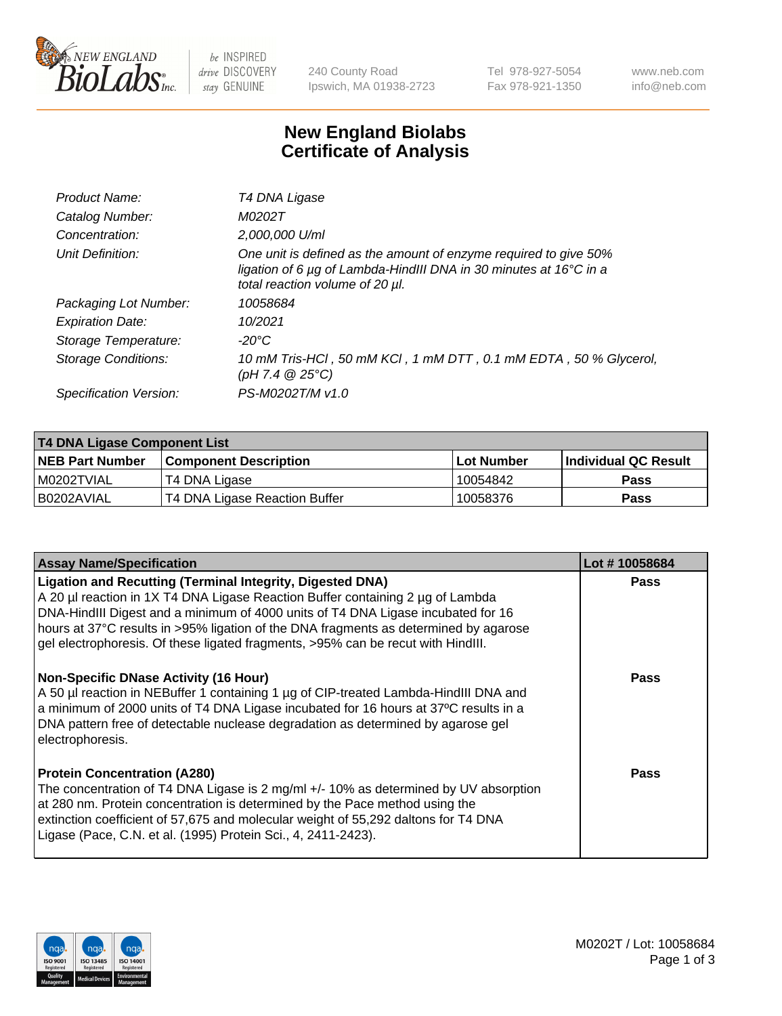

be INSPIRED drive DISCOVERY stay GENUINE

240 County Road Ipswich, MA 01938-2723 Tel 978-927-5054 Fax 978-921-1350 www.neb.com info@neb.com

## **New England Biolabs Certificate of Analysis**

| Product Name:              | T4 DNA Ligase                                                                                                                                                            |
|----------------------------|--------------------------------------------------------------------------------------------------------------------------------------------------------------------------|
| Catalog Number:            | M0202T                                                                                                                                                                   |
| Concentration:             | 2,000,000 U/ml                                                                                                                                                           |
| Unit Definition:           | One unit is defined as the amount of enzyme required to give 50%<br>ligation of 6 µg of Lambda-HindIII DNA in 30 minutes at 16°C in a<br>total reaction volume of 20 µl. |
| Packaging Lot Number:      | 10058684                                                                                                                                                                 |
| <b>Expiration Date:</b>    | 10/2021                                                                                                                                                                  |
| Storage Temperature:       | $-20^{\circ}$ C                                                                                                                                                          |
| <b>Storage Conditions:</b> | 10 mM Tris-HCl, 50 mM KCl, 1 mM DTT, 0.1 mM EDTA, 50 % Glycerol,<br>(pH 7.4 $@25°C$ )                                                                                    |
| Specification Version:     | PS-M0202T/M v1.0                                                                                                                                                         |

| <b>T4 DNA Ligase Component List</b> |                               |                   |                      |  |
|-------------------------------------|-------------------------------|-------------------|----------------------|--|
| <b>NEB Part Number</b>              | <b>Component Description</b>  | <b>Lot Number</b> | Individual QC Result |  |
| I M0202TVIAL                        | T4 DNA Ligase                 | 10054842          | <b>Pass</b>          |  |
| B0202AVIAL                          | T4 DNA Ligase Reaction Buffer | 10058376          | <b>Pass</b>          |  |

| <b>Assay Name/Specification</b>                                                                                                                                                                                                                                                                                                                                                                                    | Lot #10058684 |
|--------------------------------------------------------------------------------------------------------------------------------------------------------------------------------------------------------------------------------------------------------------------------------------------------------------------------------------------------------------------------------------------------------------------|---------------|
| <b>Ligation and Recutting (Terminal Integrity, Digested DNA)</b><br>A 20 µl reaction in 1X T4 DNA Ligase Reaction Buffer containing 2 µg of Lambda<br>DNA-HindIII Digest and a minimum of 4000 units of T4 DNA Ligase incubated for 16<br>hours at 37°C results in >95% ligation of the DNA fragments as determined by agarose<br>gel electrophoresis. Of these ligated fragments, >95% can be recut with HindIII. | <b>Pass</b>   |
| <b>Non-Specific DNase Activity (16 Hour)</b><br>A 50 µl reaction in NEBuffer 1 containing 1 µg of CIP-treated Lambda-HindIII DNA and<br>a minimum of 2000 units of T4 DNA Ligase incubated for 16 hours at 37°C results in a<br>DNA pattern free of detectable nuclease degradation as determined by agarose gel<br>electrophoresis.                                                                               | <b>Pass</b>   |
| <b>Protein Concentration (A280)</b><br>The concentration of T4 DNA Ligase is 2 mg/ml +/- 10% as determined by UV absorption<br>at 280 nm. Protein concentration is determined by the Pace method using the<br>extinction coefficient of 57,675 and molecular weight of 55,292 daltons for T4 DNA<br>Ligase (Pace, C.N. et al. (1995) Protein Sci., 4, 2411-2423).                                                  | Pass          |

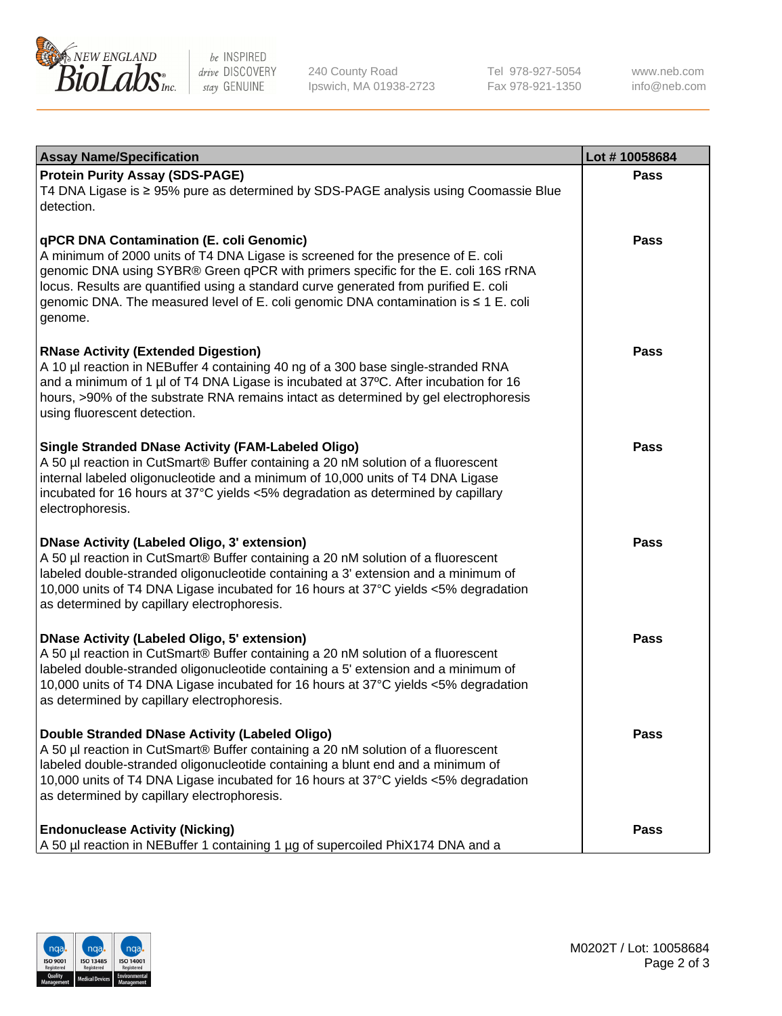

be INSPIRED drive DISCOVERY stay GENUINE

240 County Road Ipswich, MA 01938-2723 Tel 978-927-5054 Fax 978-921-1350

www.neb.com info@neb.com

| <b>Assay Name/Specification</b>                                                                                                                                                                                                                                                                                                                                                                             | Lot #10058684 |
|-------------------------------------------------------------------------------------------------------------------------------------------------------------------------------------------------------------------------------------------------------------------------------------------------------------------------------------------------------------------------------------------------------------|---------------|
| <b>Protein Purity Assay (SDS-PAGE)</b><br>T4 DNA Ligase is ≥ 95% pure as determined by SDS-PAGE analysis using Coomassie Blue<br>detection.                                                                                                                                                                                                                                                                 | Pass          |
| qPCR DNA Contamination (E. coli Genomic)<br>A minimum of 2000 units of T4 DNA Ligase is screened for the presence of E. coli<br>genomic DNA using SYBR® Green qPCR with primers specific for the E. coli 16S rRNA<br>locus. Results are quantified using a standard curve generated from purified E. coli<br>genomic DNA. The measured level of E. coli genomic DNA contamination is ≤ 1 E. coli<br>genome. | Pass          |
| <b>RNase Activity (Extended Digestion)</b><br>A 10 µl reaction in NEBuffer 4 containing 40 ng of a 300 base single-stranded RNA<br>and a minimum of 1 µl of T4 DNA Ligase is incubated at 37°C. After incubation for 16<br>hours, >90% of the substrate RNA remains intact as determined by gel electrophoresis<br>using fluorescent detection.                                                             | <b>Pass</b>   |
| <b>Single Stranded DNase Activity (FAM-Labeled Oligo)</b><br>A 50 µl reaction in CutSmart® Buffer containing a 20 nM solution of a fluorescent<br>internal labeled oligonucleotide and a minimum of 10,000 units of T4 DNA Ligase<br>incubated for 16 hours at 37°C yields <5% degradation as determined by capillary<br>electrophoresis.                                                                   | Pass          |
| <b>DNase Activity (Labeled Oligo, 3' extension)</b><br>A 50 µl reaction in CutSmart® Buffer containing a 20 nM solution of a fluorescent<br>labeled double-stranded oligonucleotide containing a 3' extension and a minimum of<br>10,000 units of T4 DNA Ligase incubated for 16 hours at 37°C yields <5% degradation<br>as determined by capillary electrophoresis.                                        | Pass          |
| <b>DNase Activity (Labeled Oligo, 5' extension)</b><br>A 50 µl reaction in CutSmart® Buffer containing a 20 nM solution of a fluorescent<br>labeled double-stranded oligonucleotide containing a 5' extension and a minimum of<br>10,000 units of T4 DNA Ligase incubated for 16 hours at 37°C yields <5% degradation<br>as determined by capillary electrophoresis.                                        | <b>Pass</b>   |
| Double Stranded DNase Activity (Labeled Oligo)<br>A 50 µl reaction in CutSmart® Buffer containing a 20 nM solution of a fluorescent<br>labeled double-stranded oligonucleotide containing a blunt end and a minimum of<br>10,000 units of T4 DNA Ligase incubated for 16 hours at 37°C yields <5% degradation<br>as determined by capillary electrophoresis.                                                | <b>Pass</b>   |
| <b>Endonuclease Activity (Nicking)</b><br>A 50 µl reaction in NEBuffer 1 containing 1 µg of supercoiled PhiX174 DNA and a                                                                                                                                                                                                                                                                                   | <b>Pass</b>   |